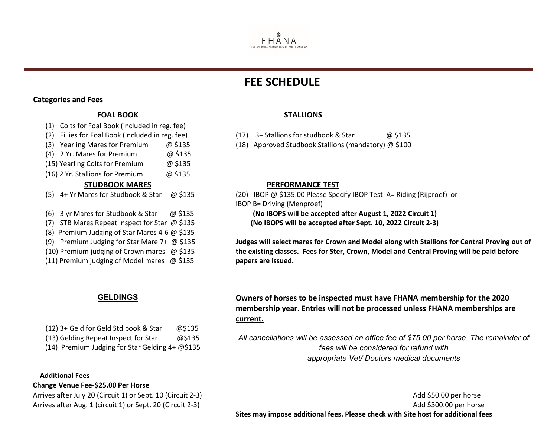

# **FEE SCHEDULE**

- (2) Fillies for Foal Book (included in reg. fee) (17) 3+ Stallions for studbook & Star @ \$135
- (3) Yearling Mares for Premium @ \$135 (18) Approved Studbook Stallions (mandatory) @ \$100

# **STUDBOOK MARES PERFORMANCE TEST**

- (5) 4+ Yr Mares for Studbook & Star @ \$135 (20) IBOP @ \$135.00 Please Specify IBOP Test A= Riding (Rijproef) or
- IBOP B= Driving (Menproef) (6) 3 yr Mares for Studbook & Star @ \$135 **(No IBOPS will be accepted after August 1, 2022 Circuit 1)**

**Judges will select mares for Crown and Model along with Stallions for Central Proving out of the existing classes. Fees for Ster, Crown, Model and Central Proving will be paid before papers are issued.** 

(12) 3+ Geld for Geld Std book & Star @\$135

(13) Gelding Repeat Inspect for Star @\$135

(14) Premium Judging for Star Gelding 4+ @\$135

## **Additional Fees**

**Change Venue Fee-\$25.00 Per Horse**

# **GELDINGS Owners of horses to be inspected must have FHANA membership for the 2020 membership year. Entries will not be processed unless FHANA memberships are current.**

*All cancellations will be assessed an office fee of \$75.00 per horse. The remainder of fees will be considered for refund with appropriate Vet/ Doctors medical documents*

Arrives after July 20 (Circuit 1) or Sept. 10 (Circuit 2-3) Add \$50.00 per horse Arrives after Aug. 1 (circuit 1) or Sept. 20 (Circuit 2-3) Add \$300.00 per horse **Sites may impose additional fees. Please check with Site host for additional fees**

# **Categories and Fees**

# **FOAL BOOK STALLIONS**

- (1) Colts for Foal Book (included in reg. fee)
- 
- 
- (4) 2 Yr. Mares for Premium @ \$135
- (15) Yearling Colts for Premium @ \$135
- (16) 2 Yr. Stallions for Premium @ \$135

- 
- 
- (7) STB Mares Repeat Inspect for Star @ \$135 **(No IBOPS will be accepted after Sept. 10, 2022 Circuit 2-3)**
- (8) Premium Judging of Star Mares 4-6 @ \$135
- (9) Premium Judging for Star Mare 7+ @ \$135
- (10) Premium judging of Crown mares @ \$135
- (11) Premium judging of Model mares @ \$135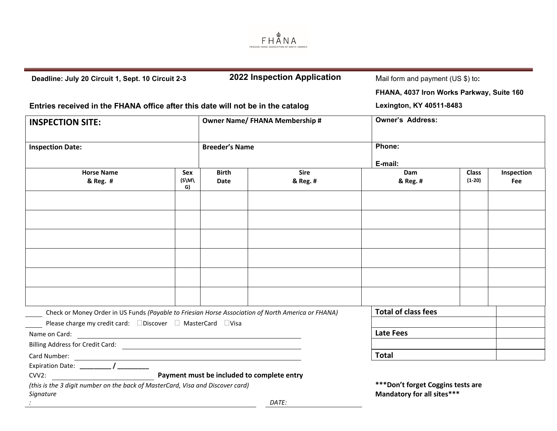

| Deadline: July 20 Circuit 1, Sept. 10 Circuit 2-3                                                  |                          | 2022 Inspection Application                |             | Mail form and payment (US \$) to:         |              |            |
|----------------------------------------------------------------------------------------------------|--------------------------|--------------------------------------------|-------------|-------------------------------------------|--------------|------------|
|                                                                                                    |                          |                                            |             | FHANA, 4037 Iron Works Parkway, Suite 160 |              |            |
| Entries received in the FHANA office after this date will not be in the catalog                    | Lexington, KY 40511-8483 |                                            |             |                                           |              |            |
| <b>INSPECTION SITE:</b>                                                                            |                          | <b>Owner Name/ FHANA Membership #</b>      |             | <b>Owner's Address:</b>                   |              |            |
| <b>Inspection Date:</b>                                                                            |                          | <b>Breeder's Name</b>                      |             | Phone:                                    |              |            |
| <b>Horse Name</b>                                                                                  | Sex                      | <b>Birth</b>                               | <b>Sire</b> | E-mail:<br><b>Dam</b>                     | <b>Class</b> | Inspection |
| & Reg. #                                                                                           | $(N/\epsilon)$<br>G)     | Date                                       | & Reg. #    | & Reg. #                                  | $(1-20)$     | Fee        |
|                                                                                                    |                          |                                            |             |                                           |              |            |
|                                                                                                    |                          |                                            |             |                                           |              |            |
|                                                                                                    |                          |                                            |             |                                           |              |            |
|                                                                                                    |                          |                                            |             |                                           |              |            |
|                                                                                                    |                          |                                            |             |                                           |              |            |
|                                                                                                    |                          |                                            |             |                                           |              |            |
|                                                                                                    |                          |                                            |             |                                           |              |            |
| Check or Money Order in US Funds (Payable to Friesian Horse Association of North America or FHANA) |                          |                                            |             | <b>Total of class fees</b>                |              |            |
| Please charge my credit card: □ Discover □ MasterCard □ Visa                                       |                          |                                            |             |                                           |              |            |
|                                                                                                    |                          |                                            |             | Late Fees                                 |              |            |
| Billing Address for Credit Card: <u>Cambridge Communication</u>                                    |                          |                                            |             |                                           |              |            |
|                                                                                                    | <b>Total</b>             |                                            |             |                                           |              |            |
| Expiration Date: ________/ _________                                                               |                          |                                            |             |                                           |              |            |
| CVV2:                                                                                              |                          | Payment must be included to complete entry |             |                                           |              |            |
| (this is the 3 digit number on the back of MasterCard, Visa and Discover card)                     |                          |                                            |             | *** Don't forget Coggins tests are        |              |            |
| Signature                                                                                          |                          |                                            |             | Mandatory for all sites***                |              |            |

*: DATE:*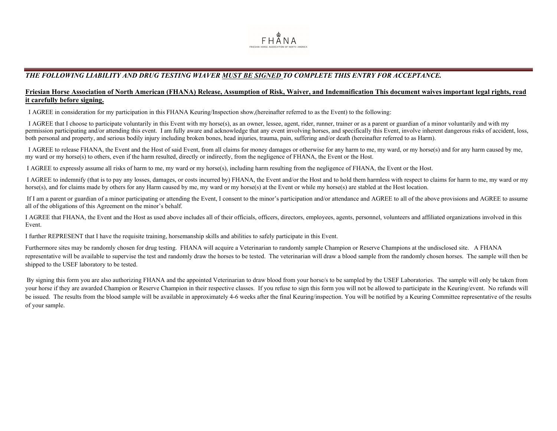

### *THE FOLLOWING LIABILITY AND DRUG TESTING WIAVER MUST BE SIGNED TO COMPLETE THIS ENTRY FOR ACCEPTANCE.*

### **Friesian Horse Association of North American (FHANA) Release, Assumption of Risk, Waiver, and Indemnification This document waives important legal rights, read it carefully before signing.**

I AGREE in consideration for my participation in this FHANA Keuring/Inspection show,(hereinafter referred to as the Event) to the following:

I AGREE that I choose to participate voluntarily in this Event with my horse(s), as an owner, lessee, agent, rider, runner, trainer or as a parent or guardian of a minor voluntarily and with my permission participating and/or attending this event. I am fully aware and acknowledge that any event involving horses, and specifically this Event, involve inherent dangerous risks of accident, loss, both personal and property, and serious bodily injury including broken bones, head injuries, trauma, pain, suffering and/or death (hereinafter referred to as Harm).

I AGREE to release FHANA, the Event and the Host of said Event, from all claims for money damages or otherwise for any harm to me, my ward, or my horse(s) and for any harm caused by me, my ward or my horse(s) to others, even if the harm resulted, directly or indirectly, from the negligence of FHANA, the Event or the Host.

I AGREE to expressly assume all risks of harm to me, my ward or my horse(s), including harm resulting from the negligence of FHANA, the Event or the Host.

I AGREE to indemnify (that is to pay any losses, damages, or costs incurred by) FHANA, the Event and/or the Host and to hold them harmless with respect to claims for harm to me, my ward or my horse(s), and for claims made by others for any Harm caused by me, my ward or my horse(s) at the Event or while my horse(s) are stabled at the Host location.

If I am a parent or guardian of a minor participating or attending the Event, I consent to the minor's participation and/or attendance and AGREE to all of the above provisions and AGREE to assume all of the obligations of this Agreement on the minor's behalf.

I AGREE that FHANA, the Event and the Host as used above includes all of their officials, officers, directors, employees, agents, personnel, volunteers and affiliated organizations involved in this Event.

I further REPRESENT that I have the requisite training, horsemanship skills and abilities to safely participate in this Event.

Furthermore sites may be randomly chosen for drug testing. FHANA will acquire a Veterinarian to randomly sample Champion or Reserve Champions at the undisclosed site. A FHANA representative will be available to supervise the test and randomly draw the horses to be tested. The veterinarian will draw a blood sample from the randomly chosen horses. The sample will then be shipped to the USEF laboratory to be tested.

By signing this form you are also authorizing FHANA and the appointed Veterinarian to draw blood from your horse/s to be sampled by the USEF Laboratories. The sample will only be taken from your horse if they are awarded Champion or Reserve Champion in their respective classes. If you refuse to sign this form you will not be allowed to participate in the Keuring/event. No refunds will be issued. The results from the blood sample will be available in approximately 4-6 weeks after the final Keuring/inspection. You will be notified by a Keuring Committee representative of the results of your sample.